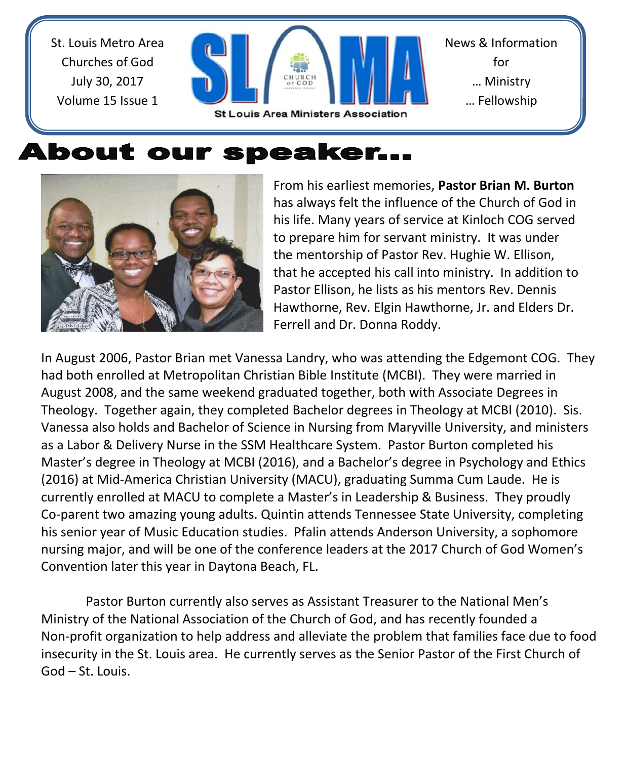St. Louis Metro Area Churches of God July 30, 2017 Volume 15 Issue 1



## About our speaker...



From his earliest memories, **Pastor Brian M. Burton** has always felt the influence of the Church of God in his life. Many years of service at Kinloch COG served to prepare him for servant ministry. It was under the mentorship of Pastor Rev. Hughie W. Ellison, that he accepted his call into ministry. In addition to Pastor Ellison, he lists as his mentors Rev. Dennis Hawthorne, Rev. Elgin Hawthorne, Jr. and Elders Dr. Ferrell and Dr. Donna Roddy.

In August 2006, Pastor Brian met Vanessa Landry, who was attending the Edgemont COG. They had both enrolled at Metropolitan Christian Bible Institute (MCBI). They were married in August 2008, and the same weekend graduated together, both with Associate Degrees in Theology. Together again, they completed Bachelor degrees in Theology at MCBI (2010). Sis. Vanessa also holds and Bachelor of Science in Nursing from Maryville University, and ministers as a Labor & Delivery Nurse in the SSM Healthcare System. Pastor Burton completed his Master's degree in Theology at MCBI (2016), and a Bachelor's degree in Psychology and Ethics (2016) at Mid-America Christian University (MACU), graduating Summa Cum Laude. He is currently enrolled at MACU to complete a Master's in Leadership & Business. They proudly Co-parent two amazing young adults. Quintin attends Tennessee State University, completing his senior year of Music Education studies. Pfalin attends Anderson University, a sophomore nursing major, and will be one of the conference leaders at the 2017 Church of God Women's Convention later this year in Daytona Beach, FL.

Pastor Burton currently also serves as Assistant Treasurer to the National Men's Ministry of the National Association of the Church of God, and has recently founded a Non-profit organization to help address and alleviate the problem that families face due to food insecurity in the St. Louis area. He currently serves as the Senior Pastor of the First Church of God – St. Louis.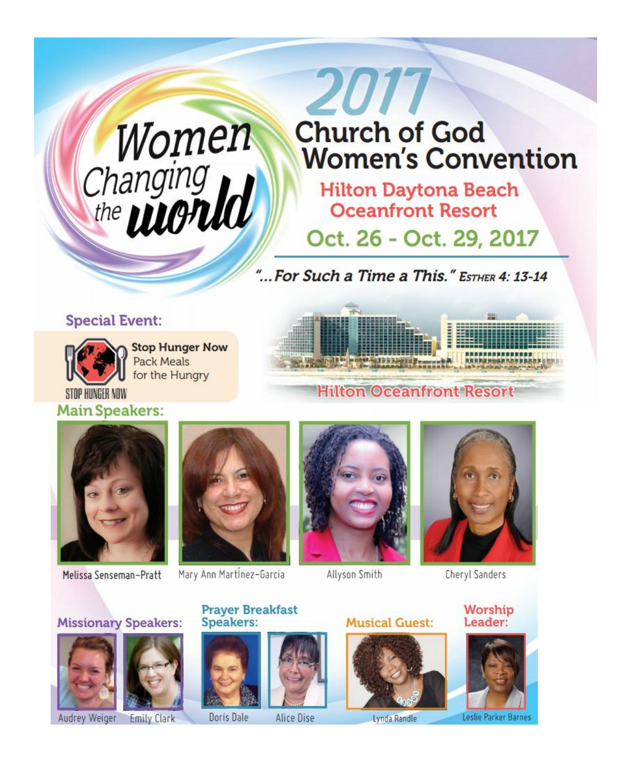# Women<br>Changing<br>the **wonld**

# 2017 **Church of God Women's Convention**

**Hilton Daytona Beach Oceanfront Resort** 

## Oct. 26 - Oct. 29, 2017

"... For Such a Time a This." ESTHER 4: 13-14

#### **Special Event:**



**Stop Hunger Now Pack Meals** for the Hungry



**Hilton Oceanfront Resort** 



**Main Speakers:** 

Melissa Senseman-Pratt

**Missionary Speakers:** 



Mary Ann Martinez-Garcia

**Speakers:** 

**Prayer Breakfast** 



**Allyson Smith** 

**Musical Guest:** 



**Chervl Sanders** 

Worship Leader:



Audrey Weiger

**Emily Clark** 

Alice Dise Doris Dale

Lynda Randle

Leslie Parker Barne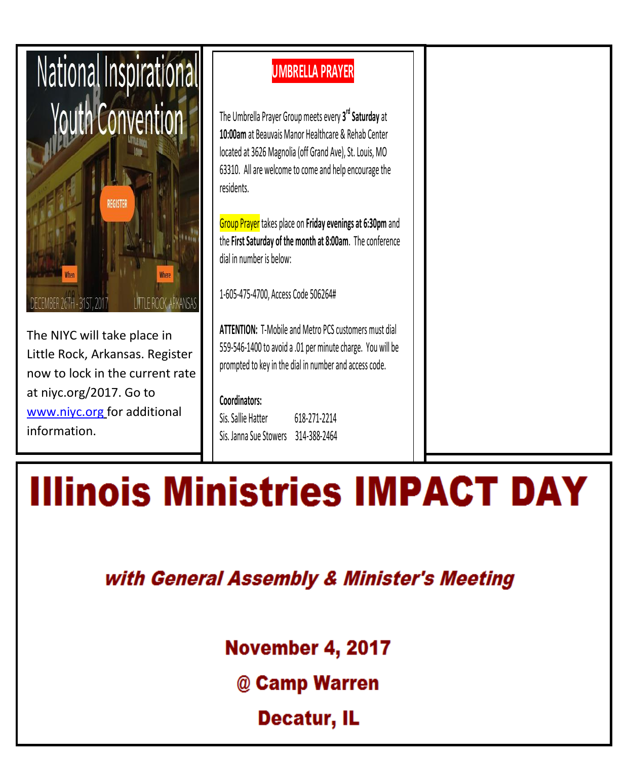

The NIYC will take place in Little Rock, Arkansas. Register now to lock in the current rate at niyc.org/2017. Go to [www.niyc.org](http://www.niyc.org/) for additional information.

### **UMBRELLA PRAYER**

The Umbrella Prayer Group meets every **3 rd Saturday** at **10:00am** at Beauvais Manor Healthcare & Rehab Center located at 3626 Magnolia (off Grand Ave), St. Louis, MO 63310. All are welcome to come and help encourage the residents.

Group Prayer takes place on **Friday evenings at 6:30pm** and the **First Saturday of the month at 8:00am**. The conference dial in number is below:

1-605-475-4700, Access Code 506264#

**ATTENTION:** T-Mobile and Metro PCS customers must dial 559-546-1400 to avoid a .01 per minute charge. You will be prompted to key in the dial in number and access code.

#### **Coordinators:**

Sis. Sallie Hatter 618-271-2214 Sis. Janna Sue Stowers 314-388-2464

# **Illinois Ministries IMPACT DAY**

with General Assembly & Minister's Meeting

**November 4, 2017** 

@ Camp Warren

Decatur, IL